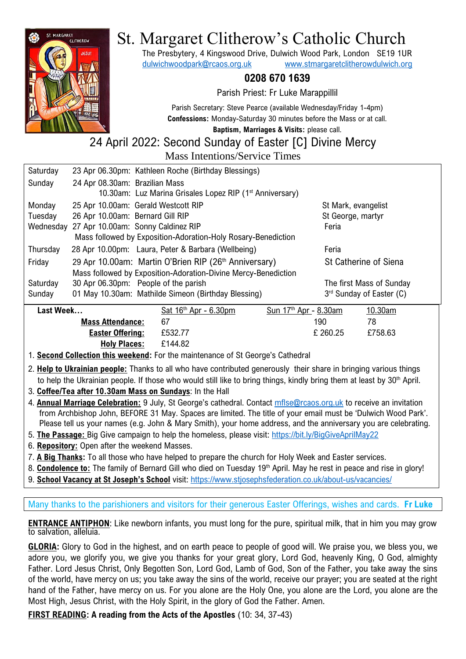

# St. Margaret Clitherow's Catholic Church

The Presbytery, 4 Kingswood Drive, Dulwich Wood Park, London SE19 1UR [dulwichwoodpark@rcaos.org.uk](mailto:dulwichwoodpark@rcaos.org.uk) [www.stmargaretclitherowdulwich.org](http://www.stmargaretclitherowdulwich.org/)

# **0208 670 1639**

Parish Priest: Fr Luke Marappillil

Parish Secretary: Steve Pearce (available Wednesday/Friday 1-4pm) **Confessions:** Monday-Saturday 30 minutes before the Mass or at call.

**Baptism, Marriages & Visits:** please call. 24 April 2022: Second Sunday of Easter [C] Divine Mercy

Mass Intentions/Service Times

| Saturday                                                       |                                  | 23 Apr 06.30pm: Kathleen Roche (Birthday Blessings)                  |                                   |                          |
|----------------------------------------------------------------|----------------------------------|----------------------------------------------------------------------|-----------------------------------|--------------------------|
| Sunday                                                         | 24 Apr 08.30am: Brazilian Mass   |                                                                      |                                   |                          |
|                                                                |                                  | 10.30am: Luz Marina Grisales Lopez RIP (1 <sup>st</sup> Anniversary) |                                   |                          |
| Monday                                                         |                                  | 25 Apr 10.00am: Gerald Westcott RIP                                  |                                   | St Mark, evangelist      |
| Tuesday                                                        | 26 Apr 10.00am: Bernard Gill RIP |                                                                      | St George, martyr                 |                          |
| Wednesday                                                      |                                  | 27 Apr 10.00am: Sonny Caldinez RIP                                   | Feria                             |                          |
| Mass followed by Exposition-Adoration-Holy Rosary-Benediction  |                                  |                                                                      |                                   |                          |
| Thursday                                                       |                                  | 28 Apr 10.00pm: Laura, Peter & Barbara (Wellbeing)                   | Feria                             |                          |
| Friday                                                         |                                  | 29 Apr 10.00am: Martin O'Brien RIP (26 <sup>th</sup> Anniversary)    |                                   | St Catherine of Siena    |
| Mass followed by Exposition-Adoration-Divine Mercy-Benediction |                                  |                                                                      |                                   |                          |
| Saturday                                                       |                                  | 30 Apr 06.30pm: People of the parish                                 |                                   | The first Mass of Sunday |
| Sunday                                                         |                                  | 01 May 10.30am: Mathilde Simeon (Birthday Blessing)                  |                                   | 3rd Sunday of Easter (C) |
| Last Week                                                      |                                  | Sat $16th$ Apr - 6.30pm                                              | Sun 17 <sup>th</sup> Apr - 8.30am | 10.30am                  |
| <b>Mass Attendance:</b>                                        |                                  | 67                                                                   | 190                               | 78                       |

**Easter Offering:** £532.77 £ 260.25£758.63 **Holy Places:** £144.82

1. **Second Collection this weekend:** For the maintenance of St George's Cathedral

2. **Help to Ukrainian people:** Thanks to all who have contributed generously their share in bringing various things to help the Ukrainian people. If those who would still like to bring things, kindly bring them at least by 30<sup>th</sup> April.

3. **Coffee/Tea after 10.30am Mass on Sundays**: In the Hall

- 4. **Annual Marriage Celebration:** 9 July, St George's cathedral. Contact [mflse@rcaos.org.uk](mailto:mflse@rcaos.org.uk) to receive an invitation from Archbishop John, BEFORE 31 May. Spaces are limited. The title of your email must be 'Dulwich Wood Park'. Please tell us your names (e.g. John & Mary Smith), your home address, and the anniversary you are celebrating.
- 5. **The Passage:** Big Give campaign to help the homeless, please visit:<https://bit.ly/BigGiveAprilMay22>
- 6. **Repository:** Open after the weekend Masses.
- 7. **A Big Thanks:** To all those who have helped to prepare the church for Holy Week and Easter services.
- 8. **Condolence to:** The family of Bernard Gill who died on Tuesday 19<sup>th</sup> April. May he rest in peace and rise in glory!
- 9. **School Vacancy at St Joseph's School** visit:<https://www.stjosephsfederation.co.uk/about-us/vacancies/>

Many thanks to the parishioners and visitors for their generous Easter Offerings, wishes and cards. **Fr Luke**

**ENTRANCE ANTIPHON**: Like newborn infants, you must long for the pure, spiritual milk, that in him you may grow to salvation, alleluia.

**GLORIA:** Glory to God in the highest, and on earth peace to people of good will. We praise you, we bless you, we adore you, we glorify you, we give you thanks for your great glory, Lord God, heavenly King, O God, almighty Father. Lord Jesus Christ, Only Begotten Son, Lord God, Lamb of God, Son of the Father, you take away the sins of the world, have mercy on us; you take away the sins of the world, receive our prayer; you are seated at the right hand of the Father, have mercy on us. For you alone are the Holy One, you alone are the Lord, you alone are the Most High, Jesus Christ, with the Holy Spirit, in the glory of God the Father. Amen.

**FIRST READING: A reading from the Acts of the Apostles** (10: 34, 37-43)